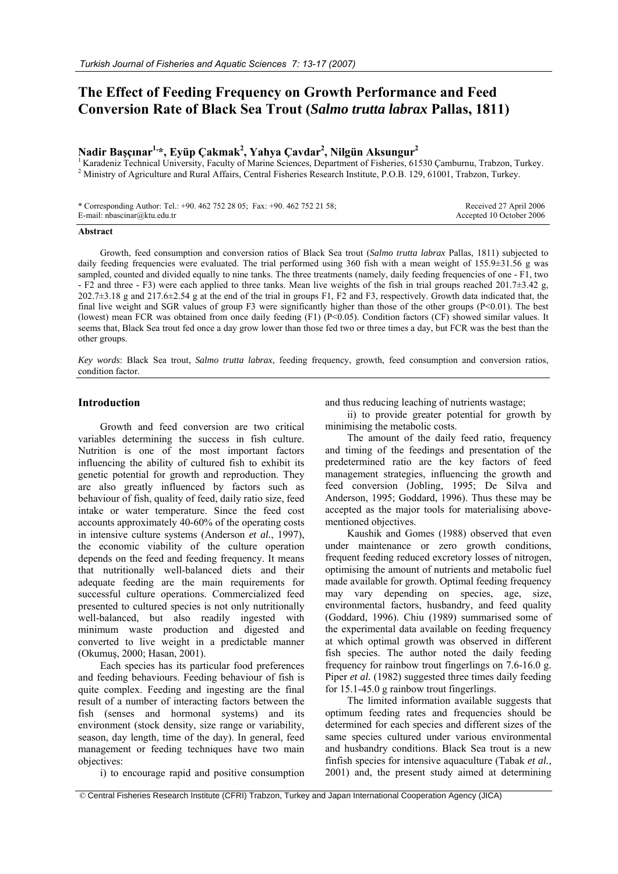# **The Effect of Feeding Frequency on Growth Performance and Feed Conversion Rate of Black Sea Trout (***Salmo trutta labrax* **Pallas, 1811)**

## **Nadir Başçınar1,\*, Eyüp Çakmak2 , Yahya Çavdar2 , Nilgün Aksungur2**

<sup>1</sup> Karadeniz Technical University, Faculty of Marine Sciences, Department of Fisheries, 61530 Çamburnu, Trabzon, Turkey. <sup>2</sup> Ministry of Agriculture and Rural Affairs, Central Fisheries Research Institute, P.O.B. 129, 61001, Trabzon, Turkey.

| * Corresponding Author: Tel.: +90. 462 752 28 05; Fax: +90. 462 752 21 58; | Received 27 April 2006   |
|----------------------------------------------------------------------------|--------------------------|
| E-mail: $n$ bascinar@ktu.edu.tr                                            | Accepted 10 October 2006 |

#### **Abstract**

Growth, feed consumption and conversion ratios of Black Sea trout (*Salmo trutta labrax* Pallas, 1811) subjected to daily feeding frequencies were evaluated. The trial performed using 360 fish with a mean weight of 155.9±31.56 g was sampled, counted and divided equally to nine tanks. The three treatments (namely, daily feeding frequencies of one - F1, two - F2 and three - F3) were each applied to three tanks. Mean live weights of the fish in trial groups reached 201.7 $\pm$ 3.42 g,  $202.7\pm3.18$  g and  $217.6\pm2.54$  g at the end of the trial in groups F1, F2 and F3, respectively. Growth data indicated that, the final live weight and SGR values of group F3 were significantly higher than those of the other groups (P<0.01). The best (lowest) mean FCR was obtained from once daily feeding  $(F1)$   $(P< 0.05)$ . Condition factors  $(CF)$  showed similar values. It seems that, Black Sea trout fed once a day grow lower than those fed two or three times a day, but FCR was the best than the other groups.

*Key words*: Black Sea trout, *Salmo trutta labrax*, feeding frequency, growth, feed consumption and conversion ratios, condition factor.

### **Introduction**

Growth and feed conversion are two critical variables determining the success in fish culture. Nutrition is one of the most important factors influencing the ability of cultured fish to exhibit its genetic potential for growth and reproduction. They are also greatly influenced by factors such as behaviour of fish, quality of feed, daily ratio size, feed intake or water temperature. Since the feed cost accounts approximately 40-60% of the operating costs in intensive culture systems (Anderson *et al.*, 1997), the economic viability of the culture operation depends on the feed and feeding frequency. It means that nutritionally well-balanced diets and their adequate feeding are the main requirements for successful culture operations. Commercialized feed presented to cultured species is not only nutritionally well-balanced, but also readily ingested with minimum waste production and digested and converted to live weight in a predictable manner (Okumuş, 2000; Hasan, 2001).

Each species has its particular food preferences and feeding behaviours. Feeding behaviour of fish is quite complex. Feeding and ingesting are the final result of a number of interacting factors between the fish (senses and hormonal systems) and its environment (stock density, size range or variability, season, day length, time of the day). In general, feed management or feeding techniques have two main objectives:

and thus reducing leaching of nutrients wastage;

ii) to provide greater potential for growth by minimising the metabolic costs.

The amount of the daily feed ratio, frequency and timing of the feedings and presentation of the predetermined ratio are the key factors of feed management strategies, influencing the growth and feed conversion (Jobling, 1995; De Silva and Anderson, 1995; Goddard, 1996). Thus these may be accepted as the major tools for materialising abovementioned objectives.

Kaushik and Gomes (1988) observed that even under maintenance or zero growth conditions, frequent feeding reduced excretory losses of nitrogen, optimising the amount of nutrients and metabolic fuel made available for growth. Optimal feeding frequency may vary depending on species, age, size, environmental factors, husbandry, and feed quality (Goddard, 1996). Chiu (1989) summarised some of the experimental data available on feeding frequency at which optimal growth was observed in different fish species. The author noted the daily feeding frequency for rainbow trout fingerlings on 7.6-16.0 g. Piper *et al.* (1982) suggested three times daily feeding for 15.1-45.0 g rainbow trout fingerlings.

The limited information available suggests that optimum feeding rates and frequencies should be determined for each species and different sizes of the same species cultured under various environmental and husbandry conditions. Black Sea trout is a new finfish species for intensive aquaculture (Tabak *et al.*, 2001) and, the present study aimed at determining

i) to encourage rapid and positive consumption

 <sup>©</sup> Central Fisheries Research Institute (CFRI) Trabzon, Turkey and Japan International Cooperation Agency (JICA)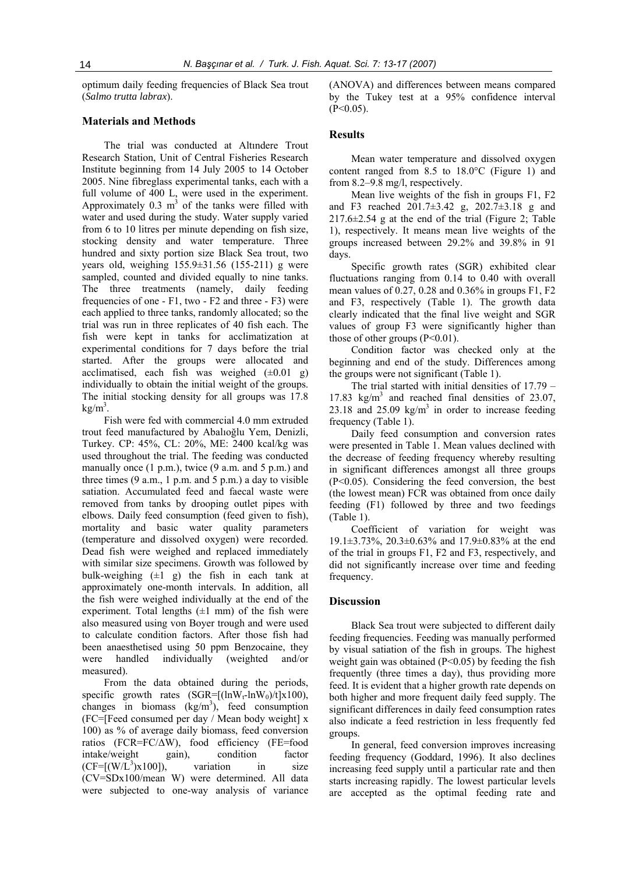optimum daily feeding frequencies of Black Sea trout (*Salmo trutta labrax*).

#### **Materials and Methods**

The trial was conducted at Altındere Trout Research Station, Unit of Central Fisheries Research Institute beginning from 14 July 2005 to 14 October 2005. Nine fibreglass experimental tanks, each with a full volume of 400 L, were used in the experiment. Approximately 0.3  $m<sup>3</sup>$  of the tanks were filled with water and used during the study. Water supply varied from 6 to 10 litres per minute depending on fish size, stocking density and water temperature. Three hundred and sixty portion size Black Sea trout, two years old, weighing 155.9±31.56 (155-211) g were sampled, counted and divided equally to nine tanks. The three treatments (namely, daily feeding frequencies of one - F1, two - F2 and three - F3) were each applied to three tanks, randomly allocated; so the trial was run in three replicates of 40 fish each. The fish were kept in tanks for acclimatization at experimental conditions for 7 days before the trial started. After the groups were allocated and acclimatised, each fish was weighed  $(\pm 0.01 \text{ g})$ individually to obtain the initial weight of the groups. The initial stocking density for all groups was 17.8  $kg/m<sup>3</sup>$ .

Fish were fed with commercial 4.0 mm extruded trout feed manufactured by Abalıoğlu Yem, Denizli, Turkey. CP: 45%, CL: 20%, ME: 2400 kcal/kg was used throughout the trial. The feeding was conducted manually once  $(1 \text{ p.m.})$ , twice  $(9 \text{ a.m. and } 5 \text{ p.m.})$  and three times  $(9 a.m., 1 p.m.$  and  $5 p.m.)$  a day to visible satiation. Accumulated feed and faecal waste were removed from tanks by drooping outlet pipes with elbows. Daily feed consumption (feed given to fish), mortality and basic water quality parameters (temperature and dissolved oxygen) were recorded. Dead fish were weighed and replaced immediately with similar size specimens. Growth was followed by bulk-weighing  $(\pm 1 \text{ g})$  the fish in each tank at approximately one-month intervals. In addition, all the fish were weighed individually at the end of the experiment. Total lengths  $(\pm 1 \text{ mm})$  of the fish were also measured using von Boyer trough and were used to calculate condition factors. After those fish had been anaesthetised using 50 ppm Benzocaine, they were handled individually (weighted and/or measured).

From the data obtained during the periods, specific growth rates  $(SGR=[(\ln W_t - \ln W_0)/t] \times 100)$ , changes in biomass  $(kg/m<sup>3</sup>)$ , feed consumption (FC=[Feed consumed per day / Mean body weight] x 100) as % of average daily biomass, feed conversion ratios (FCR=FC/ΔW), food efficiency (FE=food intake/weight gain), condition factor  $(CF=[(W/L^3)x100]),$ variation in size (CV=SDx100/mean W) were determined. All data were subjected to one-way analysis of variance

(ANOVA) and differences between means compared by the Tukey test at a 95% confidence interval  $(P<0.05)$ .

## **Results**

Mean water temperature and dissolved oxygen content ranged from 8.5 to 18.0°C (Figure 1) and from 8.2–9.8 mg/l, respectively.

Mean live weights of the fish in groups F1, F2 and F3 reached 201.7±3.42 g, 202.7±3.18 g and  $217.6 \pm 2.54$  g at the end of the trial (Figure 2; Table 1), respectively. It means mean live weights of the groups increased between 29.2% and 39.8% in 91 days.

Specific growth rates (SGR) exhibited clear fluctuations ranging from 0.14 to 0.40 with overall mean values of 0.27, 0.28 and 0.36% in groups F1, F2 and F3, respectively (Table 1). The growth data clearly indicated that the final live weight and SGR values of group F3 were significantly higher than those of other groups  $(P<0.01)$ .

Condition factor was checked only at the beginning and end of the study. Differences among the groups were not significant (Table 1).

The trial started with initial densities of 17.79 – 17.83  $\text{kg/m}^3$  and reached final densities of 23.07, 23.18 and  $25.09 \text{ kg/m}^3$  in order to increase feeding frequency (Table 1).

Daily feed consumption and conversion rates were presented in Table 1. Mean values declined with the decrease of feeding frequency whereby resulting in significant differences amongst all three groups (P<0.05). Considering the feed conversion, the best (the lowest mean) FCR was obtained from once daily feeding (F1) followed by three and two feedings (Table 1).

Coefficient of variation for weight was 19.1±3.73%, 20.3±0.63% and 17.9±0.83% at the end of the trial in groups F1, F2 and F3, respectively, and did not significantly increase over time and feeding frequency.

#### **Discussion**

Black Sea trout were subjected to different daily feeding frequencies. Feeding was manually performed by visual satiation of the fish in groups. The highest weight gain was obtained (P<0.05) by feeding the fish frequently (three times a day), thus providing more feed. It is evident that a higher growth rate depends on both higher and more frequent daily feed supply. The significant differences in daily feed consumption rates also indicate a feed restriction in less frequently fed groups.

In general, feed conversion improves increasing feeding frequency (Goddard, 1996). It also declines increasing feed supply until a particular rate and then starts increasing rapidly. The lowest particular levels are accepted as the optimal feeding rate and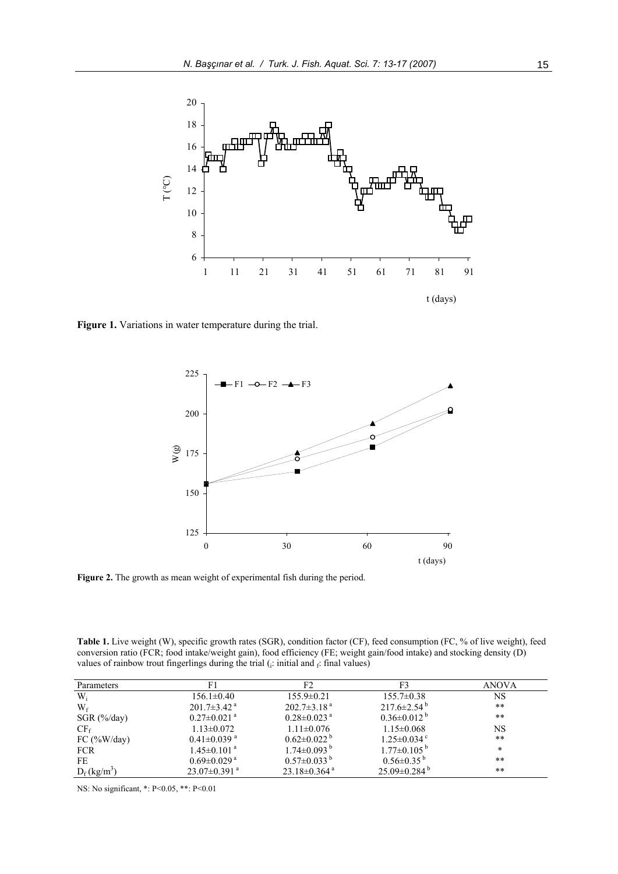

Figure 1. Variations in water temperature during the trial.



Figure 2. The growth as mean weight of experimental fish during the period.

**Table 1.** Live weight (W), specific growth rates (SGR), condition factor (CF), feed consumption (FC, % of live weight), feed conversion ratio (FCR; food intake/weight gain), food efficiency (FE; weight gain/food intake) and stocking density (D) values of rainbow trout fingerlings during the trial ( $\beta$ : initial and  $\beta$ : final values)

| Parameters                 |                               |                               | F3                            | ANOVA |
|----------------------------|-------------------------------|-------------------------------|-------------------------------|-------|
| $W_i$                      | $156.1 \pm 0.40$              | $155.9 \pm 0.21$              | $155.7 \pm 0.38$              | NS    |
| $W_f$                      | $201.7\pm3.42$ <sup>a</sup>   | $202.7\pm3.18^{a}$            | $217.6 \pm 2.54^{\circ}$      | **    |
| $SGR$ (%/day)              | $0.27 \pm 0.021$ <sup>a</sup> | $0.28 \pm 0.023$ <sup>a</sup> | $0.36\pm0.012^{b}$            | **    |
| CF <sub>f</sub>            | $1.13 \pm 0.072$              | $1.11 \pm 0.076$              | $1.15 \pm 0.068$              | NS    |
| FC $(\frac{9}{6}W/day)$    | $0.41 \pm 0.039$ <sup>a</sup> | $0.62 \pm 0.022$ <sup>b</sup> | $1.25 \pm 0.034$ °            | $**$  |
| <b>FCR</b>                 | $1.45 \pm 0.101$ <sup>a</sup> | $1.74 \pm 0.093$ <sup>b</sup> | $1.77 \pm 0.105^{\mathrm{b}}$ | *     |
| FE                         | $0.69 \pm 0.029$ <sup>a</sup> | $0.57\pm0.033^{b}$            | $0.56\pm0.35^{b}$             | **    |
| $D_f$ (kg/m <sup>3</sup> ) | $23.07\pm0.391$ <sup>a</sup>  | $23.18\pm0.364$ <sup>a</sup>  | $25.09\pm0.284$ <sup>b</sup>  | **    |

NS: No significant, \*: P<0.05, \*\*: P<0.01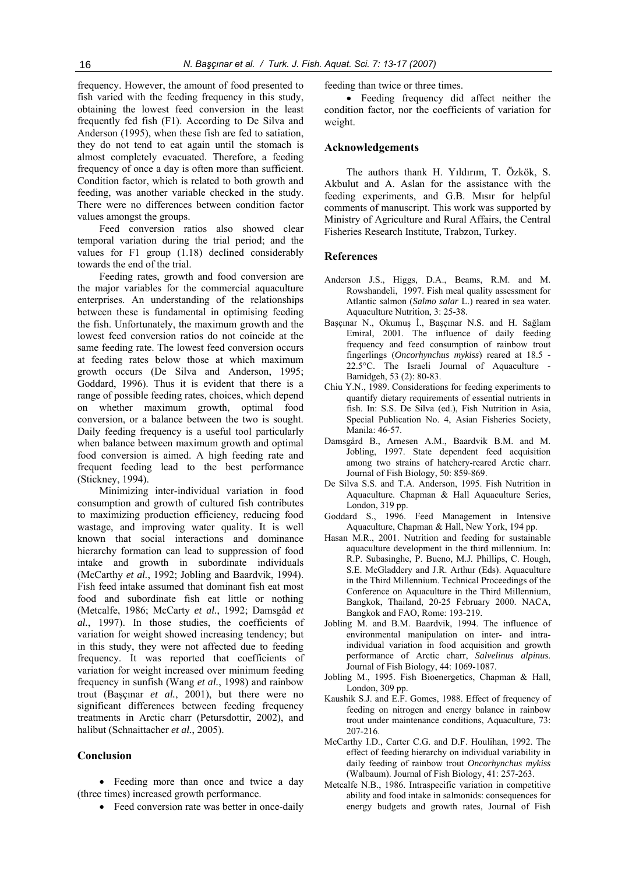frequency. However, the amount of food presented to fish varied with the feeding frequency in this study, obtaining the lowest feed conversion in the least frequently fed fish (F1). According to De Silva and Anderson (1995), when these fish are fed to satiation, they do not tend to eat again until the stomach is almost completely evacuated. Therefore, a feeding frequency of once a day is often more than sufficient. Condition factor, which is related to both growth and feeding, was another variable checked in the study. There were no differences between condition factor values amongst the groups.

Feed conversion ratios also showed clear temporal variation during the trial period; and the values for F1 group (1.18) declined considerably towards the end of the trial.

Feeding rates, growth and food conversion are the major variables for the commercial aquaculture enterprises. An understanding of the relationships between these is fundamental in optimising feeding the fish. Unfortunately, the maximum growth and the lowest feed conversion ratios do not coincide at the same feeding rate. The lowest feed conversion occurs at feeding rates below those at which maximum growth occurs (De Silva and Anderson, 1995; Goddard, 1996). Thus it is evident that there is a range of possible feeding rates, choices, which depend on whether maximum growth, optimal food conversion, or a balance between the two is sought. Daily feeding frequency is a useful tool particularly when balance between maximum growth and optimal food conversion is aimed. A high feeding rate and frequent feeding lead to the best performance (Stickney, 1994).

Minimizing inter-individual variation in food consumption and growth of cultured fish contributes to maximizing production efficiency, reducing food wastage, and improving water quality. It is well known that social interactions and dominance hierarchy formation can lead to suppression of food intake and growth in subordinate individuals (McCarthy *et al.*, 1992; Jobling and Baardvik, 1994). Fish feed intake assumed that dominant fish eat most food and subordinate fish eat little or nothing (Metcalfe, 1986; McCarty *et al.*, 1992; Damsgåd *et al.*, 1997). In those studies, the coefficients of variation for weight showed increasing tendency; but in this study, they were not affected due to feeding frequency. It was reported that coefficients of variation for weight increased over minimum feeding frequency in sunfish (Wang *et al.*, 1998) and rainbow trout (Başçınar *et al.*, 2001), but there were no significant differences between feeding frequency treatments in Arctic charr (Petursdottir, 2002), and halibut (Schnaittacher *et al.*, 2005).

## **Conclusion**

• Feeding more than once and twice a day (three times) increased growth performance.

• Feed conversion rate was better in once-daily

feeding than twice or three times.

• Feeding frequency did affect neither the condition factor, nor the coefficients of variation for weight.

#### **Acknowledgements**

The authors thank H. Yıldırım, T. Özkök, S. Akbulut and A. Aslan for the assistance with the feeding experiments, and G.B. Mısır for helpful comments of manuscript. This work was supported by Ministry of Agriculture and Rural Affairs, the Central Fisheries Research Institute, Trabzon, Turkey.

## **References**

- Anderson J.S., Higgs, D.A., Beams, R.M. and M. Rowshandeli, 1997. Fish meal quality assessment for Atlantic salmon (*Salmo salar* L.) reared in sea water. Aquaculture Nutrition, 3: 25-38.
- Başçınar N., Okumuş İ., Başçınar N.S. and H. Sağlam Emiral, 2001. The influence of daily feeding frequency and feed consumption of rainbow trout fingerlings (*Oncorhynchus mykiss*) reared at 18.5 - 22.5°C. The Israeli Journal of Aquaculture - Bamidgeh, 53 (2): 80-83.
- Chiu Y.N., 1989. Considerations for feeding experiments to quantify dietary requirements of essential nutrients in fish. In: S.S. De Silva (ed.), Fish Nutrition in Asia, Special Publication No. 4, Asian Fisheries Society, Manila: 46-57.
- Damsgård B., Arnesen A.M., Baardvik B.M. and M. Jobling, 1997. State dependent feed acquisition among two strains of hatchery-reared Arctic charr. Journal of Fish Biology, 50: 859-869.
- De Silva S.S. and T.A. Anderson, 1995. Fish Nutrition in Aquaculture. Chapman & Hall Aquaculture Series, London, 319 pp.
- Goddard S., 1996. Feed Management in Intensive Aquaculture, Chapman & Hall, New York, 194 pp.
- Hasan M.R., 2001. Nutrition and feeding for sustainable aquaculture development in the third millennium. In: R.P. Subasinghe, P. Bueno, M.J. Phillips, C. Hough, S.E. McGladdery and J.R. Arthur (Eds). Aquaculture in the Third Millennium. Technical Proceedings of the Conference on Aquaculture in the Third Millennium, Bangkok, Thailand, 20-25 February 2000. NACA, Bangkok and FAO, Rome: 193-219.
- Jobling M. and B.M. Baardvik, 1994. The influence of environmental manipulation on inter- and intraindividual variation in food acquisition and growth performance of Arctic charr, *Salvelinus alpinus*. Journal of Fish Biology, 44: 1069-1087.
- Jobling M., 1995. Fish Bioenergetics, Chapman & Hall, London, 309 pp.
- Kaushik S.J. and E.F. Gomes, 1988. Effect of frequency of feeding on nitrogen and energy balance in rainbow trout under maintenance conditions, Aquaculture, 73: 207-216.
- McCarthy I.D., Carter C.G. and D.F. Houlihan, 1992. The effect of feeding hierarchy on individual variability in daily feeding of rainbow trout *Oncorhynchus mykiss* (Walbaum). Journal of Fish Biology, 41: 257-263.
- Metcalfe N.B., 1986. Intraspecific variation in competitive ability and food intake in salmonids: consequences for energy budgets and growth rates, Journal of Fish